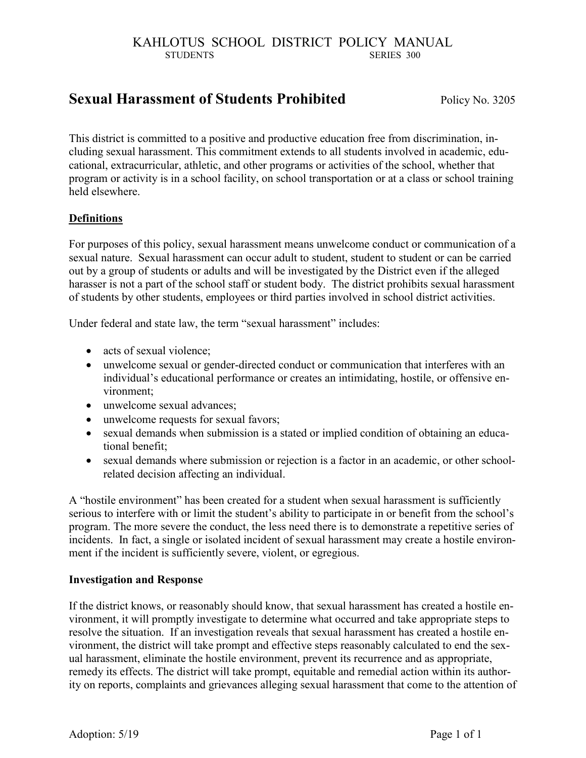# **Sexual Harassment of Students Prohibited** Policy No. 3205

This district is committed to a positive and productive education free from discrimination, including sexual harassment. This commitment extends to all students involved in academic, educational, extracurricular, athletic, and other programs or activities of the school, whether that program or activity is in a school facility, on school transportation or at a class or school training held elsewhere.

## **Definitions**

For purposes of this policy, sexual harassment means unwelcome conduct or communication of a sexual nature. Sexual harassment can occur adult to student, student to student or can be carried out by a group of students or adults and will be investigated by the District even if the alleged harasser is not a part of the school staff or student body. The district prohibits sexual harassment of students by other students, employees or third parties involved in school district activities.

Under federal and state law, the term "sexual harassment" includes:

- acts of sexual violence:
- unwelcome sexual or gender-directed conduct or communication that interferes with an individual's educational performance or creates an intimidating, hostile, or offensive environment;
- unwelcome sexual advances;
- unwelcome requests for sexual favors;
- sexual demands when submission is a stated or implied condition of obtaining an educational benefit;
- sexual demands where submission or rejection is a factor in an academic, or other schoolrelated decision affecting an individual.

A "hostile environment" has been created for a student when sexual harassment is sufficiently serious to interfere with or limit the student's ability to participate in or benefit from the school's program. The more severe the conduct, the less need there is to demonstrate a repetitive series of incidents. In fact, a single or isolated incident of sexual harassment may create a hostile environment if the incident is sufficiently severe, violent, or egregious.

#### **Investigation and Response**

If the district knows, or reasonably should know, that sexual harassment has created a hostile environment, it will promptly investigate to determine what occurred and take appropriate steps to resolve the situation. If an investigation reveals that sexual harassment has created a hostile environment, the district will take prompt and effective steps reasonably calculated to end the sexual harassment, eliminate the hostile environment, prevent its recurrence and as appropriate, remedy its effects. The district will take prompt, equitable and remedial action within its authority on reports, complaints and grievances alleging sexual harassment that come to the attention of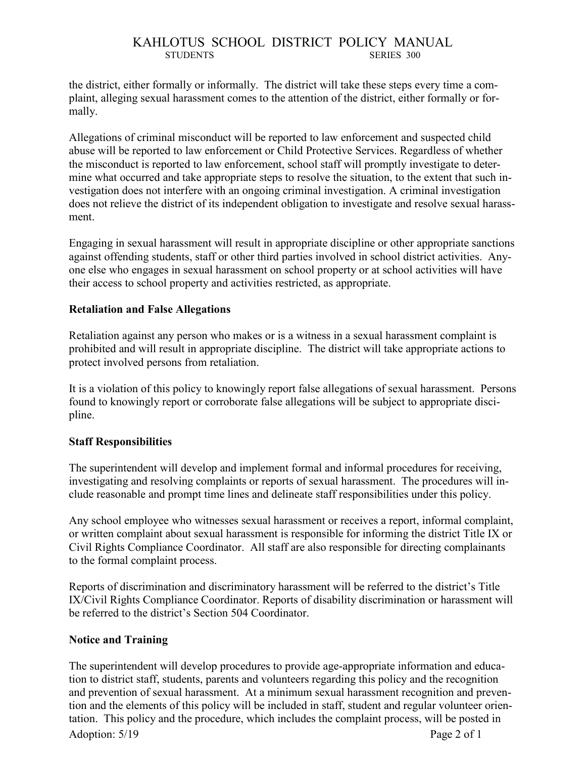the district, either formally or informally. The district will take these steps every time a complaint, alleging sexual harassment comes to the attention of the district, either formally or formally.

Allegations of criminal misconduct will be reported to law enforcement and suspected child abuse will be reported to law enforcement or Child Protective Services. Regardless of whether the misconduct is reported to law enforcement, school staff will promptly investigate to determine what occurred and take appropriate steps to resolve the situation, to the extent that such investigation does not interfere with an ongoing criminal investigation. A criminal investigation does not relieve the district of its independent obligation to investigate and resolve sexual harassment.

Engaging in sexual harassment will result in appropriate discipline or other appropriate sanctions against offending students, staff or other third parties involved in school district activities. Anyone else who engages in sexual harassment on school property or at school activities will have their access to school property and activities restricted, as appropriate.

## **Retaliation and False Allegations**

Retaliation against any person who makes or is a witness in a sexual harassment complaint is prohibited and will result in appropriate discipline. The district will take appropriate actions to protect involved persons from retaliation.

It is a violation of this policy to knowingly report false allegations of sexual harassment. Persons found to knowingly report or corroborate false allegations will be subject to appropriate discipline.

#### **Staff Responsibilities**

The superintendent will develop and implement formal and informal procedures for receiving, investigating and resolving complaints or reports of sexual harassment. The procedures will include reasonable and prompt time lines and delineate staff responsibilities under this policy.

Any school employee who witnesses sexual harassment or receives a report, informal complaint, or written complaint about sexual harassment is responsible for informing the district Title IX or Civil Rights Compliance Coordinator. All staff are also responsible for directing complainants to the formal complaint process.

Reports of discrimination and discriminatory harassment will be referred to the district's Title IX/Civil Rights Compliance Coordinator. Reports of disability discrimination or harassment will be referred to the district's Section 504 Coordinator.

## **Notice and Training**

Adoption: 5/19 Page 2 of 1 The superintendent will develop procedures to provide age-appropriate information and education to district staff, students, parents and volunteers regarding this policy and the recognition and prevention of sexual harassment. At a minimum sexual harassment recognition and prevention and the elements of this policy will be included in staff, student and regular volunteer orientation. This policy and the procedure, which includes the complaint process, will be posted in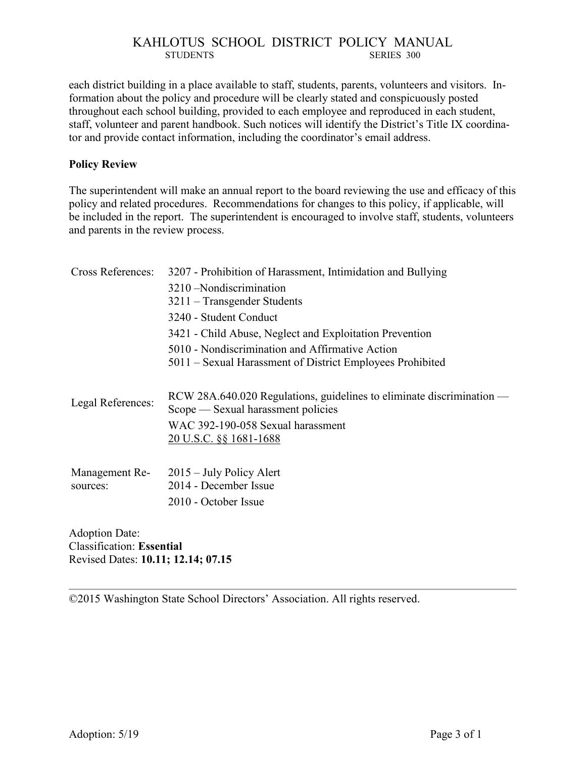each district building in a place available to staff, students, parents, volunteers and visitors. Information about the policy and procedure will be clearly stated and conspicuously posted throughout each school building, provided to each employee and reproduced in each student, staff, volunteer and parent handbook. Such notices will identify the District's Title IX coordinator and provide contact information, including the coordinator's email address.

#### **Policy Review**

The superintendent will make an annual report to the board reviewing the use and efficacy of this policy and related procedures. Recommendations for changes to this policy, if applicable, will be included in the report. The superintendent is encouraged to involve staff, students, volunteers and parents in the review process.

| Cross References: | 3207 - Prohibition of Harassment, Intimidation and Bullying           |
|-------------------|-----------------------------------------------------------------------|
|                   | 3210 - Nondiscrimination                                              |
|                   | $3211$ – Transgender Students                                         |
|                   | 3240 - Student Conduct                                                |
|                   | 3421 - Child Abuse, Neglect and Exploitation Prevention               |
|                   | 5010 - Nondiscrimination and Affirmative Action                       |
|                   | 5011 – Sexual Harassment of District Employees Prohibited             |
|                   |                                                                       |
| Legal References: | RCW 28A.640.020 Regulations, guidelines to eliminate discrimination — |
|                   | Scope — Sexual harassment policies                                    |
|                   | WAC 392-190-058 Sexual harassment                                     |
|                   | <u>20 U.S.C. §§ 1681-1688</u>                                         |
|                   |                                                                       |
| Management Re-    | $2015 - July Policy$ Alert                                            |
| sources:          | 2014 - December Issue                                                 |
|                   | 2010 - October Issue                                                  |
|                   |                                                                       |
|                   |                                                                       |

Adoption Date: Classification: **Essential** Revised Dates: **10.11; 12.14; 07.15**

©2015 Washington State School Directors' Association. All rights reserved.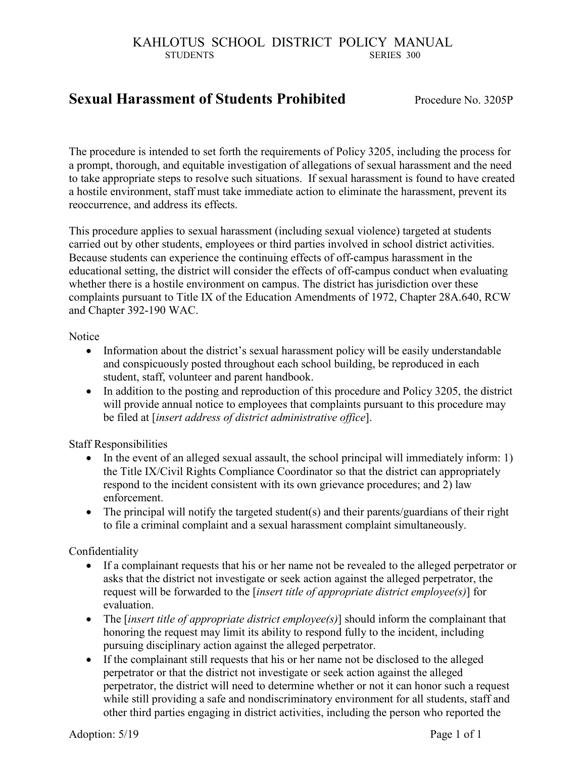# **Sexual Harassment of Students Prohibited** Procedure No. 3205P

The procedure is intended to set forth the requirements of Policy 3205, including the process for a prompt, thorough, and equitable investigation of allegations of sexual harassment and the need to take appropriate steps to resolve such situations. If sexual harassment is found to have created a hostile environment, staff must take immediate action to eliminate the harassment, prevent its reoccurrence, and address its effects.

This procedure applies to sexual harassment (including sexual violence) targeted at students carried out by other students, employees or third parties involved in school district activities. Because students can experience the continuing effects of off-campus harassment in the educational setting, the district will consider the effects of off-campus conduct when evaluating whether there is a hostile environment on campus. The district has jurisdiction over these complaints pursuant to Title IX of the Education Amendments of 1972, Chapter 28A.640, RCW and Chapter 392-190 WAC.

**Notice** 

- Information about the district's sexual harassment policy will be easily understandable and conspicuously posted throughout each school building, be reproduced in each student, staff, volunteer and parent handbook.
- In addition to the posting and reproduction of this procedure and Policy 3205, the district will provide annual notice to employees that complaints pursuant to this procedure may be filed at [*insert address of district administrative office*].

Staff Responsibilities

- In the event of an alleged sexual assault, the school principal will immediately inform: 1) the Title IX/Civil Rights Compliance Coordinator so that the district can appropriately respond to the incident consistent with its own grievance procedures; and 2) law enforcement.
- The principal will notify the targeted student(s) and their parents/guardians of their right to file a criminal complaint and a sexual harassment complaint simultaneously.

Confidentiality

- If a complainant requests that his or her name not be revealed to the alleged perpetrator or asks that the district not investigate or seek action against the alleged perpetrator, the request will be forwarded to the [*insert title of appropriate district employee(s)*] for evaluation.
- The [*insert title of appropriate district employee(s)*] should inform the complainant that honoring the request may limit its ability to respond fully to the incident, including pursuing disciplinary action against the alleged perpetrator.
- If the complainant still requests that his or her name not be disclosed to the alleged perpetrator or that the district not investigate or seek action against the alleged perpetrator, the district will need to determine whether or not it can honor such a request while still providing a safe and nondiscriminatory environment for all students, staff and other third parties engaging in district activities, including the person who reported the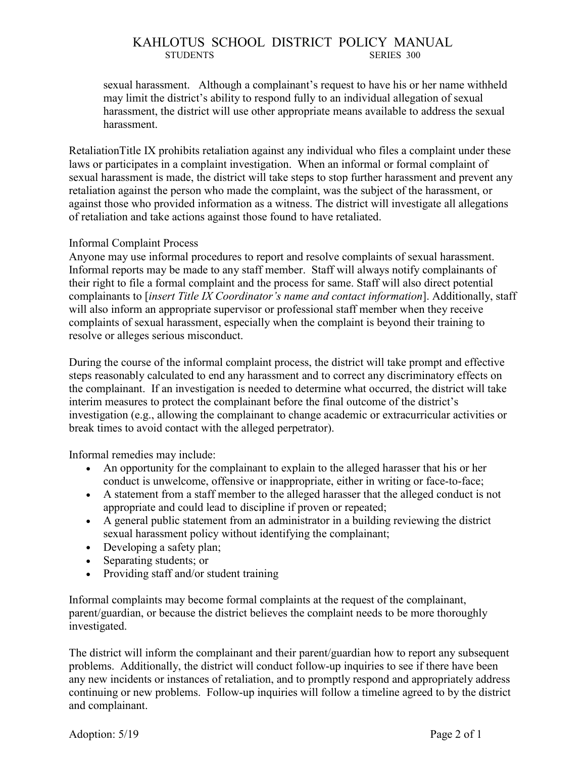sexual harassment. Although a complainant's request to have his or her name withheld may limit the district's ability to respond fully to an individual allegation of sexual harassment, the district will use other appropriate means available to address the sexual harassment.

RetaliationTitle IX prohibits retaliation against any individual who files a complaint under these laws or participates in a complaint investigation. When an informal or formal complaint of sexual harassment is made, the district will take steps to stop further harassment and prevent any retaliation against the person who made the complaint, was the subject of the harassment, or against those who provided information as a witness. The district will investigate all allegations of retaliation and take actions against those found to have retaliated.

## Informal Complaint Process

Anyone may use informal procedures to report and resolve complaints of sexual harassment. Informal reports may be made to any staff member. Staff will always notify complainants of their right to file a formal complaint and the process for same. Staff will also direct potential complainants to [*insert Title IX Coordinator's name and contact information*]. Additionally, staff will also inform an appropriate supervisor or professional staff member when they receive complaints of sexual harassment, especially when the complaint is beyond their training to resolve or alleges serious misconduct.

During the course of the informal complaint process, the district will take prompt and effective steps reasonably calculated to end any harassment and to correct any discriminatory effects on the complainant. If an investigation is needed to determine what occurred, the district will take interim measures to protect the complainant before the final outcome of the district's investigation (e.g., allowing the complainant to change academic or extracurricular activities or break times to avoid contact with the alleged perpetrator).

Informal remedies may include:

- An opportunity for the complainant to explain to the alleged harasser that his or her conduct is unwelcome, offensive or inappropriate, either in writing or face-to-face;
- A statement from a staff member to the alleged harasser that the alleged conduct is not appropriate and could lead to discipline if proven or repeated;
- A general public statement from an administrator in a building reviewing the district sexual harassment policy without identifying the complainant;
- Developing a safety plan;
- Separating students; or
- Providing staff and/or student training

Informal complaints may become formal complaints at the request of the complainant, parent/guardian, or because the district believes the complaint needs to be more thoroughly investigated.

The district will inform the complainant and their parent/guardian how to report any subsequent problems. Additionally, the district will conduct follow-up inquiries to see if there have been any new incidents or instances of retaliation, and to promptly respond and appropriately address continuing or new problems. Follow-up inquiries will follow a timeline agreed to by the district and complainant.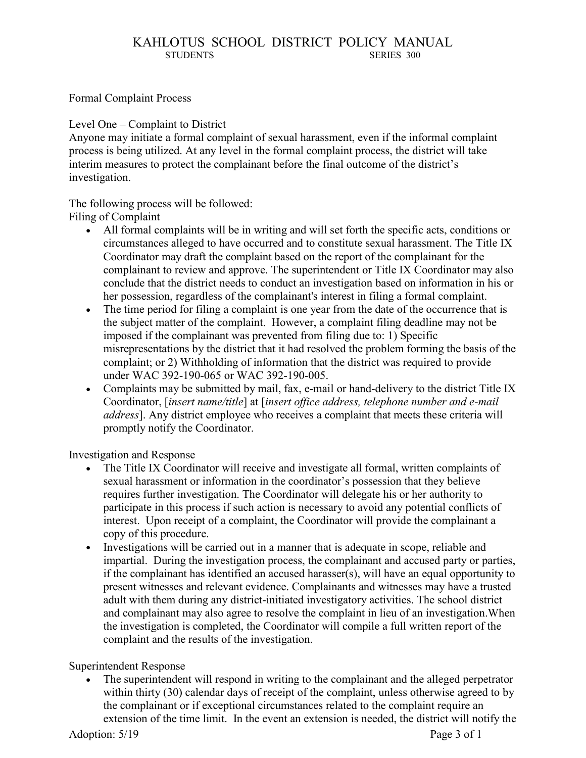Formal Complaint Process

Level One – Complaint to District

Anyone may initiate a formal complaint of sexual harassment, even if the informal complaint process is being utilized. At any level in the formal complaint process, the district will take interim measures to protect the complainant before the final outcome of the district's investigation.

The following process will be followed: Filing of Complaint

- All formal complaints will be in writing and will set forth the specific acts, conditions or circumstances alleged to have occurred and to constitute sexual harassment. The Title IX Coordinator may draft the complaint based on the report of the complainant for the complainant to review and approve. The superintendent or Title IX Coordinator may also conclude that the district needs to conduct an investigation based on information in his or her possession, regardless of the complainant's interest in filing a formal complaint.
- The time period for filing a complaint is one year from the date of the occurrence that is the subject matter of the complaint. However, a complaint filing deadline may not be imposed if the complainant was prevented from filing due to: 1) Specific misrepresentations by the district that it had resolved the problem forming the basis of the complaint; or 2) Withholding of information that the district was required to provide under WAC 392-190-065 or WAC 392-190-005.
- Complaints may be submitted by mail, fax, e-mail or hand-delivery to the district Title IX Coordinator, [*insert name/title*] at [*insert office address, telephone number and e-mail address*]. Any district employee who receives a complaint that meets these criteria will promptly notify the Coordinator.

Investigation and Response

- The Title IX Coordinator will receive and investigate all formal, written complaints of sexual harassment or information in the coordinator's possession that they believe requires further investigation. The Coordinator will delegate his or her authority to participate in this process if such action is necessary to avoid any potential conflicts of interest. Upon receipt of a complaint, the Coordinator will provide the complainant a copy of this procedure.
- Investigations will be carried out in a manner that is adequate in scope, reliable and impartial. During the investigation process, the complainant and accused party or parties, if the complainant has identified an accused harasser(s), will have an equal opportunity to present witnesses and relevant evidence. Complainants and witnesses may have a trusted adult with them during any district-initiated investigatory activities. The school district and complainant may also agree to resolve the complaint in lieu of an investigation.When the investigation is completed, the Coordinator will compile a full written report of the complaint and the results of the investigation.

Superintendent Response

 The superintendent will respond in writing to the complainant and the alleged perpetrator within thirty (30) calendar days of receipt of the complaint, unless otherwise agreed to by the complainant or if exceptional circumstances related to the complaint require an extension of the time limit. In the event an extension is needed, the district will notify the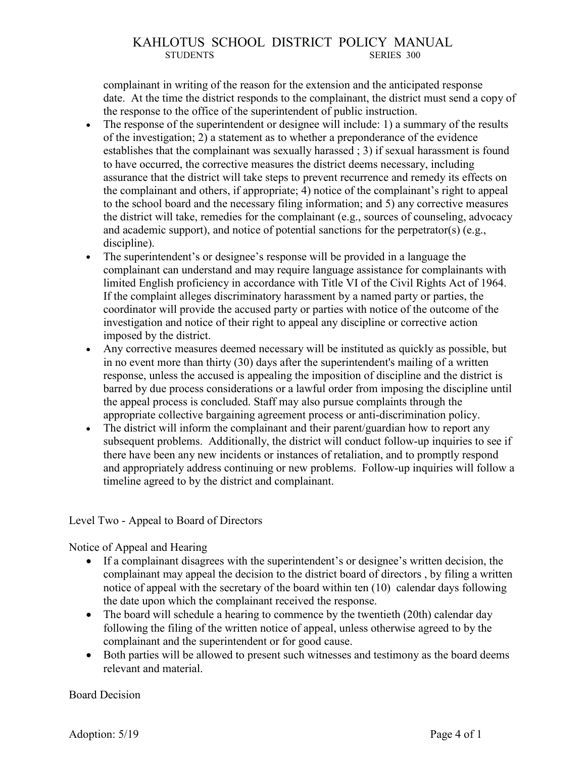complainant in writing of the reason for the extension and the anticipated response date. At the time the district responds to the complainant, the district must send a copy of the response to the office of the superintendent of public instruction.

- The response of the superintendent or designee will include: 1) a summary of the results of the investigation; 2) a statement as to whether a preponderance of the evidence establishes that the complainant was sexually harassed ; 3) if sexual harassment is found to have occurred, the corrective measures the district deems necessary, including assurance that the district will take steps to prevent recurrence and remedy its effects on the complainant and others, if appropriate; 4) notice of the complainant's right to appeal to the school board and the necessary filing information; and 5) any corrective measures the district will take, remedies for the complainant (e.g., sources of counseling, advocacy and academic support), and notice of potential sanctions for the perpetrator(s) (e.g., discipline).
- The superintendent's or designee's response will be provided in a language the complainant can understand and may require language assistance for complainants with limited English proficiency in accordance with Title VI of the Civil Rights Act of 1964. If the complaint alleges discriminatory harassment by a named party or parties, the coordinator will provide the accused party or parties with notice of the outcome of the investigation and notice of their right to appeal any discipline or corrective action imposed by the district.
- Any corrective measures deemed necessary will be instituted as quickly as possible, but in no event more than thirty (30) days after the superintendent's mailing of a written response, unless the accused is appealing the imposition of discipline and the district is barred by due process considerations or a lawful order from imposing the discipline until the appeal process is concluded. Staff may also pursue complaints through the appropriate collective bargaining agreement process or anti-discrimination policy.
- The district will inform the complainant and their parent/guardian how to report any subsequent problems. Additionally, the district will conduct follow-up inquiries to see if there have been any new incidents or instances of retaliation, and to promptly respond and appropriately address continuing or new problems. Follow-up inquiries will follow a timeline agreed to by the district and complainant.

## Level Two - Appeal to Board of Directors

Notice of Appeal and Hearing

- If a complainant disagrees with the superintendent's or designee's written decision, the complainant may appeal the decision to the district board of directors , by filing a written notice of appeal with the secretary of the board within ten (10) calendar days following the date upon which the complainant received the response.
- The board will schedule a hearing to commence by the twentieth (20th) calendar day following the filing of the written notice of appeal, unless otherwise agreed to by the complainant and the superintendent or for good cause.
- Both parties will be allowed to present such witnesses and testimony as the board deems relevant and material.

#### Board Decision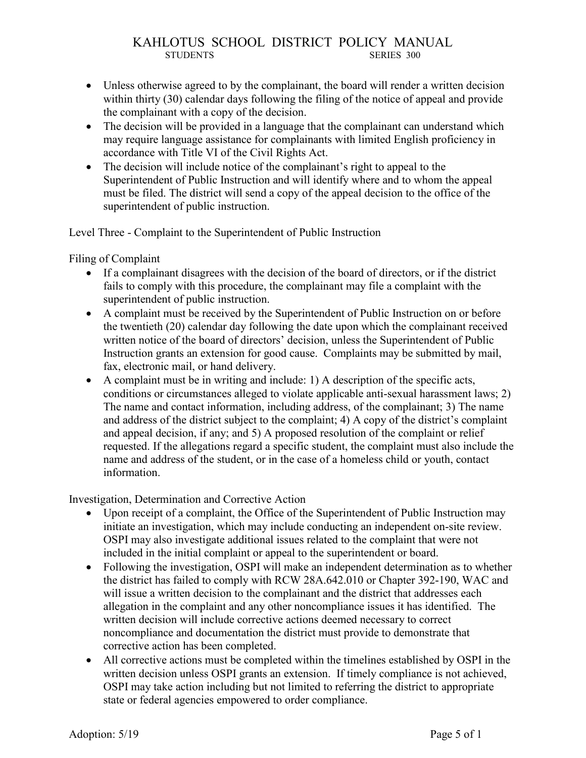- Unless otherwise agreed to by the complainant, the board will render a written decision within thirty (30) calendar days following the filing of the notice of appeal and provide the complainant with a copy of the decision.
- The decision will be provided in a language that the complainant can understand which may require language assistance for complainants with limited English proficiency in accordance with Title VI of the Civil Rights Act.
- The decision will include notice of the complainant's right to appeal to the Superintendent of Public Instruction and will identify where and to whom the appeal must be filed. The district will send a copy of the appeal decision to the office of the superintendent of public instruction.

Level Three - Complaint to the Superintendent of Public Instruction

Filing of Complaint

- If a complainant disagrees with the decision of the board of directors, or if the district fails to comply with this procedure, the complainant may file a complaint with the superintendent of public instruction.
- A complaint must be received by the Superintendent of Public Instruction on or before the twentieth (20) calendar day following the date upon which the complainant received written notice of the board of directors' decision, unless the Superintendent of Public Instruction grants an extension for good cause. Complaints may be submitted by mail, fax, electronic mail, or hand delivery.
- A complaint must be in writing and include: 1) A description of the specific acts, conditions or circumstances alleged to violate applicable anti-sexual harassment laws; 2) The name and contact information, including address, of the complainant; 3) The name and address of the district subject to the complaint; 4) A copy of the district's complaint and appeal decision, if any; and 5) A proposed resolution of the complaint or relief requested. If the allegations regard a specific student, the complaint must also include the name and address of the student, or in the case of a homeless child or youth, contact information.

Investigation, Determination and Corrective Action

- Upon receipt of a complaint, the Office of the Superintendent of Public Instruction may initiate an investigation, which may include conducting an independent on-site review. OSPI may also investigate additional issues related to the complaint that were not included in the initial complaint or appeal to the superintendent or board.
- Following the investigation, OSPI will make an independent determination as to whether the district has failed to comply with RCW 28A.642.010 or Chapter 392-190, WAC and will issue a written decision to the complainant and the district that addresses each allegation in the complaint and any other noncompliance issues it has identified. The written decision will include corrective actions deemed necessary to correct noncompliance and documentation the district must provide to demonstrate that corrective action has been completed.
- All corrective actions must be completed within the timelines established by OSPI in the written decision unless OSPI grants an extension. If timely compliance is not achieved, OSPI may take action including but not limited to referring the district to appropriate state or federal agencies empowered to order compliance.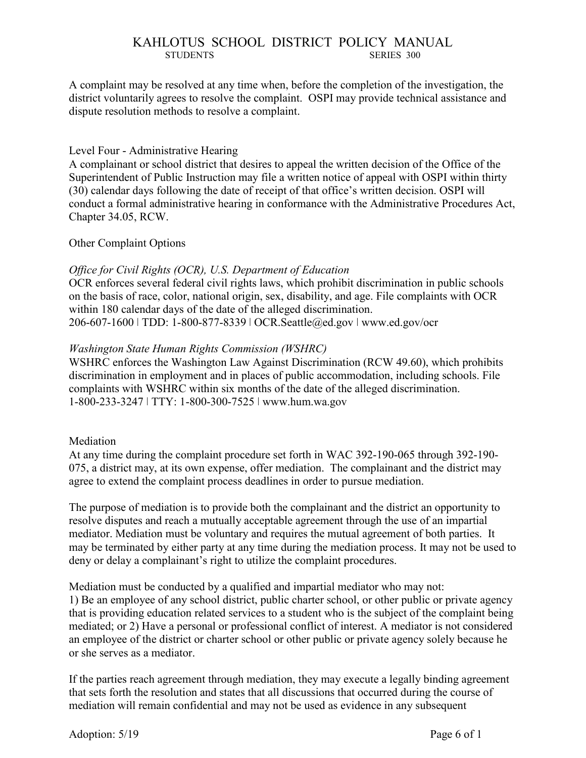A complaint may be resolved at any time when, before the completion of the investigation, the district voluntarily agrees to resolve the complaint. OSPI may provide technical assistance and dispute resolution methods to resolve a complaint.

### Level Four - Administrative Hearing

A complainant or school district that desires to appeal the written decision of the Office of the Superintendent of Public Instruction may file a written notice of appeal with OSPI within thirty (30) calendar days following the date of receipt of that office's written decision. OSPI will conduct a formal administrative hearing in conformance with the Administrative Procedures Act, Chapter 34.05, RCW.

#### Other Complaint Options

## *Office for Civil Rights (OCR), U.S. Department of Education*

OCR enforces several federal civil rights laws, which prohibit discrimination in public schools on the basis of race, color, national origin, sex, disability, and age. File complaints with OCR within 180 calendar days of the date of the alleged discrimination. 206-607-1600 ǀ TDD: 1-800-877-8339 ǀ OCR.Seattle@ed.gov ǀ www.ed.gov/ocr

## *Washington State Human Rights Commission (WSHRC)*

WSHRC enforces the Washington Law Against Discrimination (RCW 49.60), which prohibits discrimination in employment and in places of public accommodation, including schools. File complaints with WSHRC within six months of the date of the alleged discrimination. 1-800-233-3247 ǀ TTY: 1-800-300-7525 ǀ www.hum.wa.gov

#### Mediation

At any time during the complaint procedure set forth in WAC 392-190-065 through 392-190- 075, a district may, at its own expense, offer mediation. The complainant and the district may agree to extend the complaint process deadlines in order to pursue mediation.

The purpose of mediation is to provide both the complainant and the district an opportunity to resolve disputes and reach a mutually acceptable agreement through the use of an impartial mediator. Mediation must be voluntary and requires the mutual agreement of both parties. It may be terminated by either party at any time during the mediation process. It may not be used to deny or delay a complainant's right to utilize the complaint procedures.

Mediation must be conducted by a qualified and impartial mediator who may not: 1) Be an employee of any school district, public charter school, or other public or private agency that is providing education related services to a student who is the subject of the complaint being mediated; or 2) Have a personal or professional conflict of interest. A mediator is not considered an employee of the district or charter school or other public or private agency solely because he or she serves as a mediator.

If the parties reach agreement through mediation, they may execute a legally binding agreement that sets forth the resolution and states that all discussions that occurred during the course of mediation will remain confidential and may not be used as evidence in any subsequent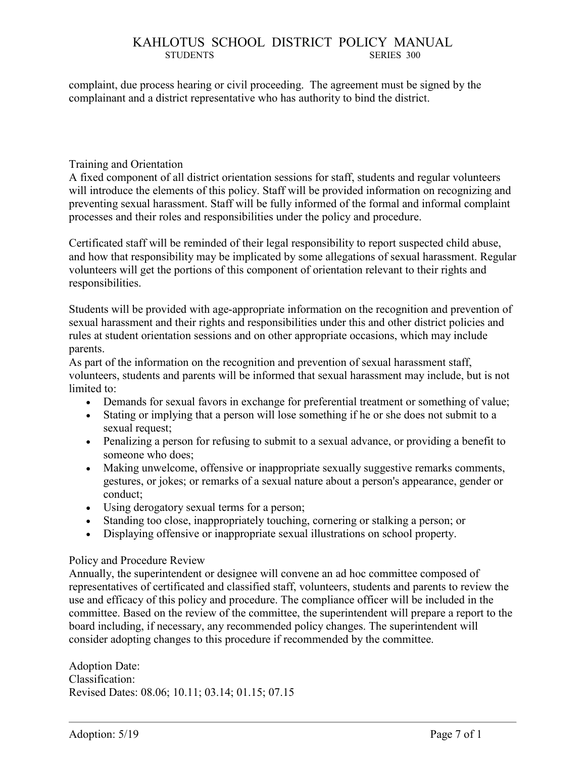complaint, due process hearing or civil proceeding. The agreement must be signed by the complainant and a district representative who has authority to bind the district.

#### Training and Orientation

A fixed component of all district orientation sessions for staff, students and regular volunteers will introduce the elements of this policy. Staff will be provided information on recognizing and preventing sexual harassment. Staff will be fully informed of the formal and informal complaint processes and their roles and responsibilities under the policy and procedure.

Certificated staff will be reminded of their legal responsibility to report suspected child abuse, and how that responsibility may be implicated by some allegations of sexual harassment. Regular volunteers will get the portions of this component of orientation relevant to their rights and responsibilities.

Students will be provided with age-appropriate information on the recognition and prevention of sexual harassment and their rights and responsibilities under this and other district policies and rules at student orientation sessions and on other appropriate occasions, which may include parents.

As part of the information on the recognition and prevention of sexual harassment staff, volunteers, students and parents will be informed that sexual harassment may include, but is not limited to:

- Demands for sexual favors in exchange for preferential treatment or something of value;
- Stating or implying that a person will lose something if he or she does not submit to a sexual request;
- Penalizing a person for refusing to submit to a sexual advance, or providing a benefit to someone who does;
- Making unwelcome, offensive or inappropriate sexually suggestive remarks comments, gestures, or jokes; or remarks of a sexual nature about a person's appearance, gender or conduct;
- Using derogatory sexual terms for a person;
- Standing too close, inappropriately touching, cornering or stalking a person; or
- Displaying offensive or inappropriate sexual illustrations on school property.

#### Policy and Procedure Review

Annually, the superintendent or designee will convene an ad hoc committee composed of representatives of certificated and classified staff, volunteers, students and parents to review the use and efficacy of this policy and procedure. The compliance officer will be included in the committee. Based on the review of the committee, the superintendent will prepare a report to the board including, if necessary, any recommended policy changes. The superintendent will consider adopting changes to this procedure if recommended by the committee.

Adoption Date: Classification: Revised Dates: 08.06; 10.11; 03.14; 01.15; 07.15